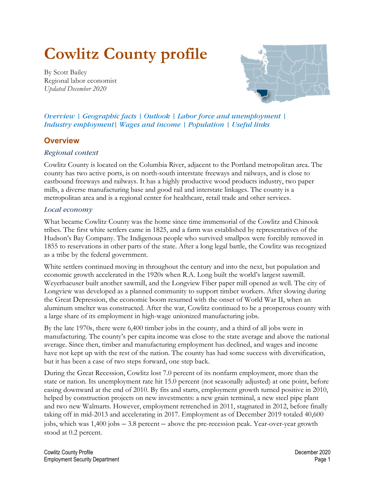# **Cowlitz County profile**

<span id="page-0-0"></span>By Scott Bailey Regional labor economist *Updated December 2020*



*Overview | [Geographic facts](#page-1-0) | [Outlook](#page-1-1) | [Labor force and unemployment](#page-1-2) | [Industry employment|](#page-1-3) [Wages and income](#page-4-0) | [Population](#page-10-0) | [Useful links](#page-11-0)*

# **Overview**

## *Regional context*

Cowlitz County is located on the Columbia River, adjacent to the Portland metropolitan area. The county has two active ports, is on north-south interstate freeways and railways, and is close to eastbound freeways and railways. It has a highly productive wood products industry, two paper mills, a diverse manufacturing base and good rail and interstate linkages. The county is a metropolitan area and is a regional center for healthcare, retail trade and other services.

## *Local economy*

What became Cowlitz County was the home since time immemorial of the Cowlitz and Chinook tribes. The first white settlers came in 1825, and a farm was established by representatives of the Hudson's Bay Company. The Indigenous people who survived smallpox were forcibly removed in 1855 to reservations in other parts of the state. After a long legal battle, the Cowlitz was recognized as a tribe by the federal government.

White settlers continued moving in throughout the century and into the next, but population and economic growth accelerated in the 1920s when R.A. Long built the world's largest sawmill. Weyerhaeuser built another sawmill, and the Longview Fiber paper mill opened as well. The city of Longview was developed as a planned community to support timber workers. After slowing during the Great Depression, the economic boom resumed with the onset of World War II, when an aluminum smelter was constructed. After the war, Cowlitz continued to be a prosperous county with a large share of its employment in high-wage unionized manufacturing jobs.

By the late 1970s, there were 6,400 timber jobs in the county, and a third of all jobs were in manufacturing. The county's per capita income was close to the state average and above the national average. Since then, timber and manufacturing employment has declined, and wages and income have not kept up with the rest of the nation. The county has had some success with diversification, but it has been a case of two steps forward, one step back.

During the Great Recession, Cowlitz lost 7.0 percent of its nonfarm employment, more than the state or nation. Its unemployment rate hit 15.0 percent (not seasonally adjusted) at one point, before easing downward at the end of 2010. By fits and starts, employment growth turned positive in 2010, helped by construction projects on new investments: a new grain terminal, a new steel pipe plant and two new Walmarts. However, employment retrenched in 2011, stagnated in 2012, before finally taking off in mid-2013 and accelerating in 2017. Employment as of December 2019 totaled 40,600 jobs, which was 1,400 jobs – 3.8 percent – above the pre-recession peak. Year-over-year growth stood at 0.2 percent.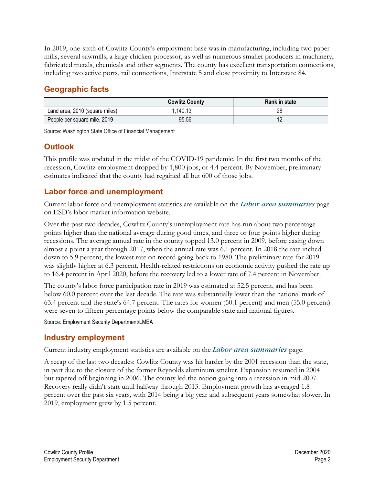In 2019, one-sixth of Cowlitz County's employment base was in manufacturing, including two paper mills, several sawmills, a large chicken processor, as well as numerous smaller producers in machinery, fabricated metals, chemicals and other segments. The county has excellent transportation connections, including two active ports, rail connections, Interstate 5 and close proximity to Interstate 84.

# <span id="page-1-0"></span>**[Geographic facts](#page-0-0)**

|                                | <b>Cowlitz County</b> | <b>Rank in state</b> |
|--------------------------------|-----------------------|----------------------|
| Land area, 2010 (square miles) | 1,140.13              | n٥                   |
| People per square mile, 2019   | 95.56                 | 1 L                  |

Source: Washington State Office of Financial Management

# <span id="page-1-1"></span>**[Outlook](#page-0-0)**

This profile was updated in the midst of the COVID-19 pandemic. In the first two months of the recession, Cowlitz employment dropped by 1,800 jobs, or 4.4 percent. By November, preliminary estimates indicated that the county had regained all but 600 of those jobs.

# <span id="page-1-2"></span>**[Labor force and unemployment](#page-0-0)**

Current labor force and unemployment statistics are available on the *[Labor area summaries](https://fortress.wa.gov/esd/employmentdata/eeis-tools/labor-area-summaries)* page [on ESD's labor market information website.](https://fortress.wa.gov/esd/employmentdata/eeis-tools/labor-area-summaries)

Over the past two decades, Cowlitz County's unemployment rate has run about two percentage points higher than the national average during good times, and three or four points higher during recessions. The average annual rate in the county topped 13.0 percent in 2009, before easing down almost a point a year through 2017, when the annual rate was 6.1 percent. In 2018 the rate inched down to 5.9 percent, the lowest rate on record going back to 1980. The preliminary rate for 2019 was slightly higher at 6.3 percent. Health-related restrictions on economic activity pushed the rate up to 16.4 percent in April 2020, before the recovery led to a lower rate of 7.4 percent in November.

The county's labor force participation rate in 2019 was estimated at 52.5 percent, and has been below 60.0 percent over the last decade. The rate was substantially lower than the national mark of 63.4 percent and the state's 64.7 percent. The rates for women (50.1 percent) and men (55.0 percent) were seven to fifteen percentage points below the comparable state and national figures.

Source: Employment Security Department/LMEA

# <span id="page-1-3"></span>**[Industry employment](#page-0-0)**

Current industry employment statistics are available on the *[Labor area summaries](https://fortress.wa.gov/esd/employmentdata/eeis-tools/labor-area-summaries)* [page.](https://fortress.wa.gov/esd/employmentdata/eeis-tools/labor-area-summaries)

A recap of the last two decades: Cowlitz County was hit harder by the 2001 recession than the state, in part due to the closure of the former Reynolds aluminum smelter. Expansion resumed in 2004 but tapered off beginning in 2006. The county led the nation going into a recession in mid-2007. Recovery really didn't start until halfway through 2013. Employment growth has averaged 1.8 percent over the past six years, with 2014 being a big year and subsequent years somewhat slower. In 2019, employment grew by 1.5 percent.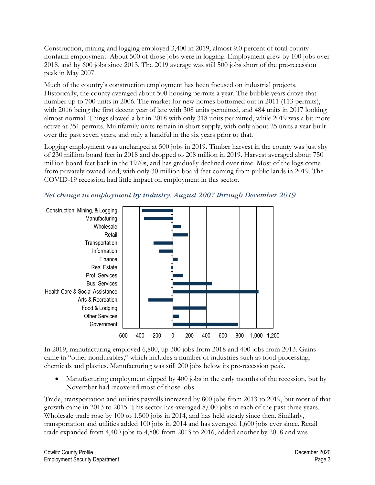Construction, mining and logging employed 3,400 in 2019, almost 9.0 percent of total county nonfarm employment. About 500 of those jobs were in logging. Employment grew by 100 jobs over 2018, and by 600 jobs since 2013. The 2019 average was still 500 jobs short of the pre-recession peak in May 2007.

Much of the country's construction employment has been focused on industrial projects. Historically, the county averaged about 500 housing permits a year. The bubble years drove that number up to 700 units in 2006. The market for new homes bottomed out in 2011 (113 permits), with 2016 being the first decent year of late with 308 units permitted, and 484 units in 2017 looking almost normal. Things slowed a bit in 2018 with only 318 units permitted, while 2019 was a bit more active at 351 permits. Multifamily units remain in short supply, with only about 25 units a year built over the past seven years, and only a handful in the six years prior to that.

Logging employment was unchanged at 500 jobs in 2019. Timber harvest in the county was just shy of 230 million board feet in 2018 and dropped to 208 million in 2019. Harvest averaged about 750 million board feet back in the 1970s, and has gradually declined over time. Most of the logs come from privately owned land, with only 30 million board feet coming from public lands in 2019. The COVID-19 recession had little impact on employment in this sector.



*Net change in employment by industry, August 2007 through December 2019* 

In 2019, manufacturing employed 6,800, up 300 jobs from 2018 and 400 jobs from 2013. Gains came in "other nondurables," which includes a number of industries such as food processing, chemicals and plastics. Manufacturing was still 200 jobs below its pre-recession peak.

• Manufacturing employment dipped by 400 jobs in the early months of the recession, but by November had recovered most of those jobs.

Trade, transportation and utilities payrolls increased by 800 jobs from 2013 to 2019, but most of that growth came in 2013 to 2015. This sector has averaged 8,000 jobs in each of the past three years. Wholesale trade rose by 100 to 1,500 jobs in 2014, and has held steady since then. Similarly, transportation and utilities added 100 jobs in 2014 and has averaged 1,600 jobs ever since. Retail trade expanded from 4,400 jobs to 4,800 from 2013 to 2016, added another by 2018 and was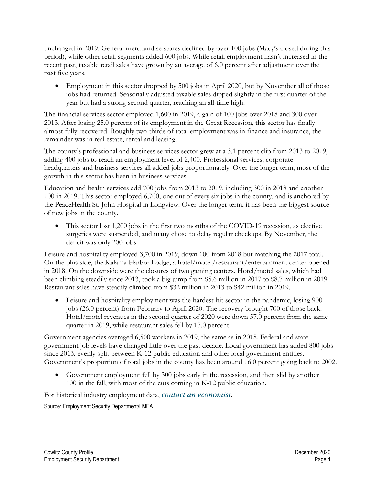unchanged in 2019. General merchandise stores declined by over 100 jobs (Macy's closed during this period), while other retail segments added 600 jobs. While retail employment hasn't increased in the recent past, taxable retail sales have grown by an average of 6.0 percent after adjustment over the past five years.

• Employment in this sector dropped by 500 jobs in April 2020, but by November all of those jobs had returned. Seasonally adjusted taxable sales dipped slightly in the first quarter of the year but had a strong second quarter, reaching an all-time high.

The financial services sector employed 1,600 in 2019, a gain of 100 jobs over 2018 and 300 over 2013. After losing 25.0 percent of its employment in the Great Recession, this sector has finally almost fully recovered. Roughly two-thirds of total employment was in finance and insurance, the remainder was in real estate, rental and leasing.

The county's professional and business services sector grew at a 3.1 percent clip from 2013 to 2019, adding 400 jobs to reach an employment level of 2,400. Professional services, corporate headquarters and business services all added jobs proportionately. Over the longer term, most of the growth in this sector has been in business services.

Education and health services add 700 jobs from 2013 to 2019, including 300 in 2018 and another 100 in 2019. This sector employed 6,700, one out of every six jobs in the county, and is anchored by the PeaceHealth St. John Hospital in Longview. Over the longer term, it has been the biggest source of new jobs in the county.

• This sector lost 1,200 jobs in the first two months of the COVID-19 recession, as elective surgeries were suspended, and many chose to delay regular checkups. By November, the deficit was only 200 jobs.

Leisure and hospitality employed 3,700 in 2019, down 100 from 2018 but matching the 2017 total. On the plus side, the Kalama Harbor Lodge, a hotel/motel/restaurant/entertainment center opened in 2018. On the downside were the closures of two gaming centers. Hotel/motel sales, which had been climbing steadily since 2013, took a big jump from \$5.6 million in 2017 to \$8.7 million in 2019. Restaurant sales have steadily climbed from \$32 million in 2013 to \$42 million in 2019.

• Leisure and hospitality employment was the hardest-hit sector in the pandemic, losing 900 jobs (26.0 percent) from February to April 2020. The recovery brought 700 of those back. Hotel/motel revenues in the second quarter of 2020 were down 57.0 percent from the same quarter in 2019, while restaurant sales fell by 17.0 percent.

Government agencies averaged 6,500 workers in 2019, the same as in 2018. Federal and state government job levels have changed little over the past decade. Local government has added 800 jobs since 2013, evenly split between K-12 public education and other local government entities. Government's proportion of total jobs in the county has been around 16.0 percent going back to 2002.

• Government employment fell by 300 jobs early in the recession, and then slid by another 100 in the fall, with most of the cuts coming in K-12 public education.

For historical industry employment data, *[contact an economist](https://fortress.wa.gov/esd/employmentdata/help/contactaneconomist)***.**

Source: Employment Security Department/LMEA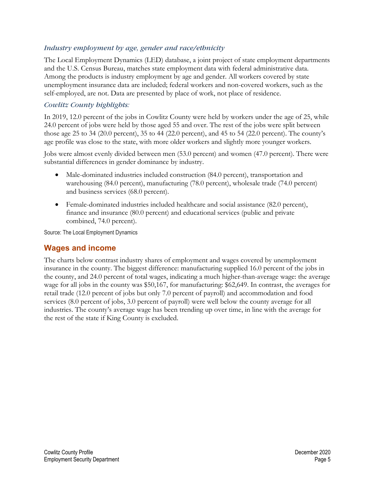## *Industry employment by age, gender and race/ethnicity*

The Local Employment Dynamics (LED) database, a joint project of state employment departments and the U.S. Census Bureau, matches state employment data with federal administrative data. Among the products is industry employment by age and gender. All workers covered by state unemployment insurance data are included; federal workers and non-covered workers, such as the self-employed, are not. Data are presented by place of work, not place of residence.

# *Cowlitz County highlights:*

In 2019, 12.0 percent of the jobs in Cowlitz County were held by workers under the age of 25, while 24.0 percent of jobs were held by those aged 55 and over. The rest of the jobs were split between those age 25 to 34 (20.0 percent), 35 to 44 (22.0 percent), and 45 to 54 (22.0 percent). The county's age profile was close to the state, with more older workers and slightly more younger workers.

Jobs were almost evenly divided between men (53.0 percent) and women (47.0 percent). There were substantial differences in gender dominance by industry.

- Male-dominated industries included construction (84.0 percent), transportation and warehousing (84.0 percent), manufacturing (78.0 percent), wholesale trade (74.0 percent) and business services (68.0 percent).
- Female-dominated industries included healthcare and social assistance (82.0 percent), finance and insurance (80.0 percent) and educational services (public and private combined, 74.0 percent).

Source: The Local Employment Dynamics

# <span id="page-4-0"></span>**[Wages and income](#page-0-0)**

The charts below contrast industry shares of employment and wages covered by unemployment insurance in the county. The biggest difference: manufacturing supplied 16.0 percent of the jobs in the county, and 24.0 percent of total wages, indicating a much higher-than-average wage: the average wage for all jobs in the county was \$50,167, for manufacturing: \$62,649. In contrast, the averages for retail trade (12.0 percent of jobs but only 7.0 percent of payroll) and accommodation and food services (8.0 percent of jobs, 3.0 percent of payroll) were well below the county average for all industries. The county's average wage has been trending up over time, in line with the average for the rest of the state if King County is excluded.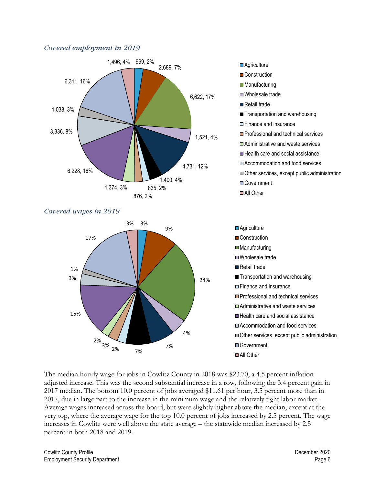#### *Covered employment in 2019*







■ Construction **Manufacturing** ■Wholesale trade Retail trade

Government ■All Other

**Transportation and warehousing** 

**□ Professional and technical services □** Administrative and waste services ■ Health care and social assistance □ Accommodation and food services

Other services, except public administration

**□ Finance and insurance** 

The median hourly wage for jobs in Cowlitz County in 2018 was \$23.70, a 4.5 percent inflationadjusted increase. This was the second substantial increase in a row, following the 3.4 percent gain in 2017 median. The bottom 10.0 percent of jobs averaged \$11.61 per hour, 3.5 percent more than in 2017, due in large part to the increase in the minimum wage and the relatively tight labor market. Average wages increased across the board, but were slightly higher above the median, except at the very top, where the average wage for the top 10.0 percent of jobs increased by 2.5 percent. The wage increases in Cowlitz were well above the state average – the statewide median increased by 2.5 percent in both 2018 and 2019.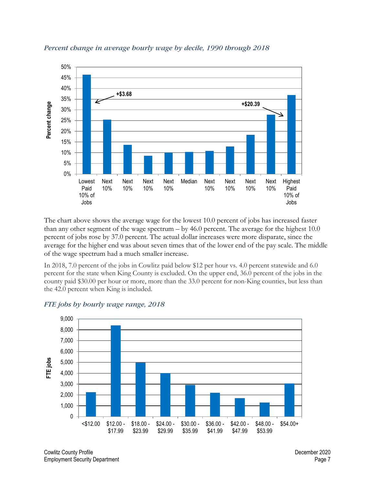

#### *Percent change in average hourly wage by decile, 1990 through 2018*

The chart above shows the average wage for the lowest 10.0 percent of jobs has increased faster than any other segment of the wage spectrum – by 46.0 percent. The average for the highest 10.0 percent of jobs rose by 37.0 percent. The actual dollar increases were more disparate, since the average for the higher end was about seven times that of the lower end of the pay scale. The middle of the wage spectrum had a much smaller increase.

In 2018, 7.0 percent of the jobs in Cowlitz paid below \$12 per hour vs. 4.0 percent statewide and 6.0 percent for the state when King County is excluded. On the upper end, 36.0 percent of the jobs in the county paid \$30.00 per hour or more, more than the 33.0 percent for non-King counties, but less than the 42.0 percent when King is included.



#### *FTE jobs by hourly wage range, 2018*

Cowlitz County Profile December 2020 Employment Security Department **Page 7 Page 7**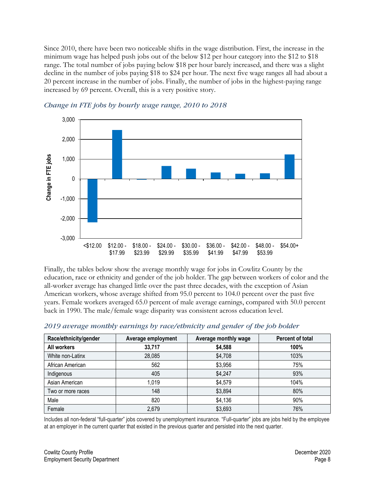Since 2010, there have been two noticeable shifts in the wage distribution. First, the increase in the minimum wage has helped push jobs out of the below \$12 per hour category into the \$12 to \$18 range. The total number of jobs paying below \$18 per hour barely increased, and there was a slight decline in the number of jobs paying \$18 to \$24 per hour. The next five wage ranges all had about a 20 percent increase in the number of jobs. Finally, the number of jobs in the highest-paying range increased by 69 percent. Overall, this is a very positive story.





Finally, the tables below show the average monthly wage for jobs in Cowlitz County by the education, race or ethnicity and gender of the job holder. The gap between workers of color and the all-worker average has changed little over the past three decades, with the exception of Asian American workers, whose average shifted from 95.0 percent to 104.0 percent over the past five years. Female workers averaged 65.0 percent of male average earnings, compared with 50.0 percent back in 1990. The male/female wage disparity was consistent across education level.

| Race/ethnicity/gender | Average employment | Average monthly wage | <b>Percent of total</b> |
|-----------------------|--------------------|----------------------|-------------------------|
| All workers           | 33,717             | \$4,588              | 100%                    |
| White non-Latinx      | 28,085             | \$4,708              | 103%                    |
| African American      | 562                | \$3,956              | 75%                     |
| Indigenous            | 405                | \$4,247              | 93%                     |
| Asian American        | 1,019              | \$4,579              | 104%                    |
| Two or more races     | 148                | \$3,894              | 80%                     |
| Male                  | 820                | \$4,136              | 90%                     |
| Female                | 2,679              | \$3,693              | 76%                     |

#### *2019 average monthly earnings by race/ethnicity and gender of the job holder*

Includes all non-federal "full-quarter" jobs covered by unemployment insurance. "Full-quarter" jobs are jobs held by the employee at an employer in the current quarter that existed in the previous quarter and persisted into the next quarter.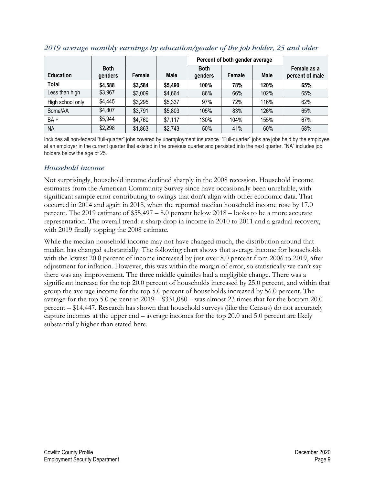|                  |                        |         |         | Percent of both gender average |        |             |                                |
|------------------|------------------------|---------|---------|--------------------------------|--------|-------------|--------------------------------|
| <b>Education</b> | <b>Both</b><br>genders | Female  | Male    | <b>Both</b><br>genders         | Female | <b>Male</b> | Female as a<br>percent of male |
| <b>Total</b>     | \$4,588                | \$3,584 | \$5,490 | 100%                           | 78%    | 120%        | 65%                            |
| Less than high   | \$3,967                | \$3,009 | \$4,664 | 86%                            | 66%    | 102%        | 65%                            |
| High school only | \$4,445                | \$3,295 | \$5,337 | 97%                            | 72%    | 116%        | 62%                            |
| Some/AA          | \$4,807                | \$3,791 | \$5,803 | 105%                           | 83%    | 126%        | 65%                            |
| $BA +$           | \$5,944                | \$4,760 | \$7,117 | 130%                           | 104%   | 155%        | 67%                            |
| <b>NA</b>        | \$2,298                | \$1,863 | \$2,743 | 50%                            | 41%    | 60%         | 68%                            |

#### *2019 average monthly earnings by education/gender of the job holder, 25 and older*

Includes all non-federal "full-quarter" jobs covered by unemployment insurance. "Full-quarter" jobs are jobs held by the employee at an employer in the current quarter that existed in the previous quarter and persisted into the next quarter. "NA" includes job holders below the age of 25.

## *Household income*

Not surprisingly, household income declined sharply in the 2008 recession. Household income estimates from the American Community Survey since have occasionally been unreliable, with significant sample error contributing to swings that don't align with other economic data. That occurred in 2014 and again in 2018, when the reported median household income rose by 17.0 percent. The 2019 estimate of \$55,497 – 8.0 percent below 2018 – looks to be a more accurate representation. The overall trend: a sharp drop in income in 2010 to 2011 and a gradual recovery, with 2019 finally topping the 2008 estimate.

While the median household income may not have changed much, the distribution around that median has changed substantially. The following chart shows that average income for households with the lowest 20.0 percent of income increased by just over 8.0 percent from 2006 to 2019, after adjustment for inflation. However, this was within the margin of error, so statistically we can't say there was any improvement. The three middle quintiles had a negligible change. There was a significant increase for the top 20.0 percent of households increased by 25.0 percent, and within that group the average income for the top 5.0 percent of households increased by 56.0 percent. The average for the top 5.0 percent in 2019 – \$331,080 – was almost 23 times that for the bottom 20.0 percent – \$14,447. Research has shown that household surveys (like the Census) do not accurately capture incomes at the upper end – average incomes for the top 20.0 and 5.0 percent are likely substantially higher than stated here.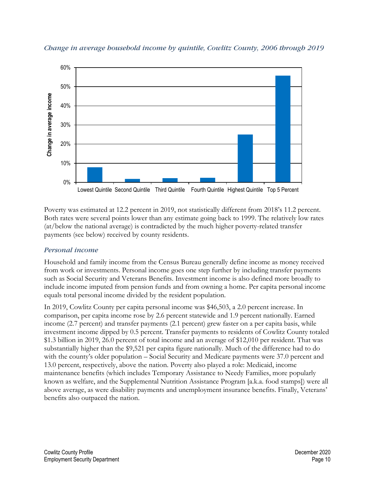

*Change in average household income by quintile, Cowlitz County, 2006 through 2019*

Poverty was estimated at 12.2 percent in 2019, not statistically different from 2018's 11.2 percent. Both rates were several points lower than any estimate going back to 1999. The relatively low rates (at/below the national average) is contradicted by the much higher poverty-related transfer payments (see below) received by county residents.

## *Personal income*

Household and family income from the Census Bureau generally define income as money received from work or investments. Personal income goes one step further by including transfer payments such as Social Security and Veterans Benefits. Investment income is also defined more broadly to include income imputed from pension funds and from owning a home. Per capita personal income equals total personal income divided by the resident population.

In 2019, Cowlitz County per capita personal income was \$46,503, a 2.0 percent increase. In comparison, per capita income rose by 2.6 percent statewide and 1.9 percent nationally. Earned income (2.7 percent) and transfer payments (2.1 percent) grew faster on a per capita basis, while investment income dipped by 0.5 percent. Transfer payments to residents of Cowlitz County totaled \$1.3 billion in 2019, 26.0 percent of total income and an average of \$12,010 per resident. That was substantially higher than the \$9,521 per capita figure nationally. Much of the difference had to do with the county's older population – Social Security and Medicare payments were 37.0 percent and 13.0 percent, respectively, above the nation. Poverty also played a role: Medicaid, income maintenance benefits (which includes Temporary Assistance to Needy Families, more popularly known as welfare, and the Supplemental Nutrition Assistance Program [a.k.a. food stamps]) were all above average, as were disability payments and unemployment insurance benefits. Finally, Veterans' benefits also outpaced the nation.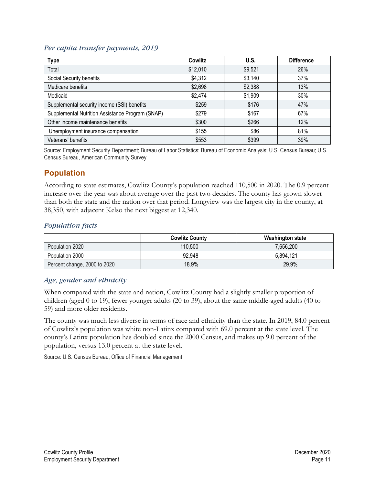#### *Per capita transfer payments, 2019*

| <b>Type</b>                                      | Cowlitz  | U.S.    | <b>Difference</b> |
|--------------------------------------------------|----------|---------|-------------------|
| Total                                            | \$12,010 | \$9,521 | 26%               |
| Social Security benefits                         | \$4,312  | \$3,140 | 37%               |
| Medicare benefits                                | \$2,698  | \$2,388 | 13%               |
| Medicaid                                         | \$2,474  | \$1,909 | 30%               |
| Supplemental security income (SSI) benefits      | \$259    | \$176   | 47%               |
| Supplemental Nutrition Assistance Program (SNAP) | \$279    | \$167   | 67%               |
| Other income maintenance benefits                | \$300    | \$266   | 12%               |
| Unemployment insurance compensation              | \$155    | \$86    | 81%               |
| Veterans' benefits                               | \$553    | \$399   | 39%               |

Source: Employment Security Department; Bureau of Labor Statistics; Bureau of Economic Analysis; U.S. Census Bureau; U.S. Census Bureau, American Community Survey

# <span id="page-10-0"></span>**[Population](#page-0-0)**

According to state estimates, Cowlitz County's population reached 110,500 in 2020. The 0.9 percent increase over the year was about average over the past two decades. The county has grown slower than both the state and the nation over that period. Longview was the largest city in the county, at 38,350, with adjacent Kelso the next biggest at 12,340.

## *Population facts*

|                              | <b>Cowlitz County</b> | <b>Washington state</b> |
|------------------------------|-----------------------|-------------------------|
| Population 2020              | 110.500               | 7.656.200               |
| Population 2000              | 92,948                | 5.894.121               |
| Percent change, 2000 to 2020 | 18.9%                 | 29.9%                   |

## *Age, gender and ethnicity*

When compared with the state and nation, Cowlitz County had a slightly smaller proportion of children (aged 0 to 19), fewer younger adults (20 to 39), about the same middle-aged adults (40 to 59) and more older residents.

The county was much less diverse in terms of race and ethnicity than the state. In 2019, 84.0 percent of Cowlitz's population was white non-Latinx compared with 69.0 percent at the state level. The county's Latinx population has doubled since the 2000 Census, and makes up 9.0 percent of the population, versus 13.0 percent at the state level.

Source: U.S. Census Bureau, Office of Financial Management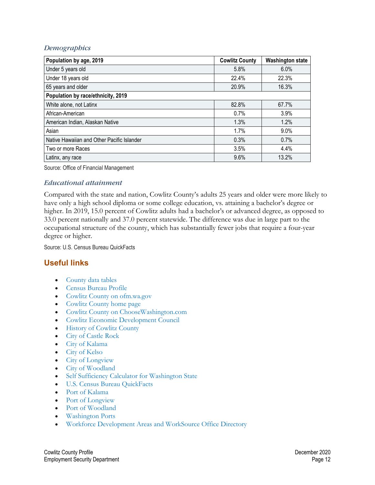### *Demographics*

| Population by age, 2019                    | <b>Cowlitz County</b> | <b>Washington state</b> |  |  |
|--------------------------------------------|-----------------------|-------------------------|--|--|
| Under 5 years old                          | 5.8%                  | $6.0\%$                 |  |  |
| Under 18 years old                         | 22.4%                 | 22.3%                   |  |  |
| 65 years and older                         | 20.9%                 | 16.3%                   |  |  |
| Population by race/ethnicity, 2019         |                       |                         |  |  |
| White alone, not Latinx                    | 82.8%                 | 67.7%                   |  |  |
| African-American                           | 0.7%                  | 3.9%                    |  |  |
| American Indian, Alaskan Native            | 1.3%                  | 1.2%                    |  |  |
| Asian                                      | 1.7%                  | $9.0\%$                 |  |  |
| Native Hawaiian and Other Pacific Islander | 0.3%                  | 0.7%                    |  |  |
| Two or more Races                          | 3.5%                  | 4.4%                    |  |  |
| Latinx, any race                           | 9.6%                  | 13.2%                   |  |  |

Source: Office of Financial Management

#### *Educational attainment*

Compared with the state and nation, Cowlitz County's adults 25 years and older were more likely to have only a high school diploma or some college education, vs. attaining a bachelor's degree or higher. In 2019, 15.0 percent of Cowlitz adults had a bachelor's or advanced degree, as opposed to 33.0 percent nationally and 37.0 percent statewide. The difference was due in large part to the occupational structure of the county, which has substantially fewer jobs that require a four-year degree or higher.

Source: U.S. Census Bureau QuickFacts

# <span id="page-11-0"></span>**[Useful links](#page-0-0)**

- [County data tables](https://esdorchardstorage.blob.core.windows.net/esdwa/Default/ESDWAGOV/labor-market-info/Libraries/Regional-reports/County-Data-Tables/Cowlitz%20County%20data%20tables.xlsx)
- [Census Bureau Profile](https://data.census.gov/cedsci/profile?q=Cowlitz%20County,%20Washington&g=0500000US53015)
- [Cowlitz County on ofm.wa.gov](https://ofm.wa.gov/washington-data-research/county-and-city-data/cowlitz-county)
- [Cowlitz County home page](http://www.co.cowlitz.wa.us/)
- [Cowlitz County on ChooseWashington.com](http://choosewashingtonstate.com/why-washington/our-region/)
- [Cowlitz Economic Development Council](https://cowlitzedc.com/)
- [History of Cowlitz County](http://www.historylink.org/File/7482)
- [City of Castle Rock](http://ci.castle-rock.wa.us/)
- [City of Kalama](http://www.cityofkalama.com/)
- [City of Kelso](http://www.kelso.gov/)
- [City of Longview](http://www.mylongview.com/)
- [City of Woodland](http://www.ci.woodland.wa.us/)
- [Self Sufficiency Calculator for Washington State](http://www.thecalculator.org/)
- [U.S. Census Bureau QuickFacts](https://www.census.gov/quickfacts/fact/table/cowlitzcountywashington/PST045216)
- [Port of Kalama](http://portofkalama.com/)
- [Port of Longview](http://www.portoflongview.com/)
- [Port of Woodland](http://www.portofwoodland.com/)
- [Washington Ports](http://www.washingtonports.org/)
- [Workforce Development Areas and WorkSource Office Directory](https://seeker.worksourcewa.com/microsite/content.aspx?appid=MGSWAOFFLOC&pagetype=simple&seo=officelocator)